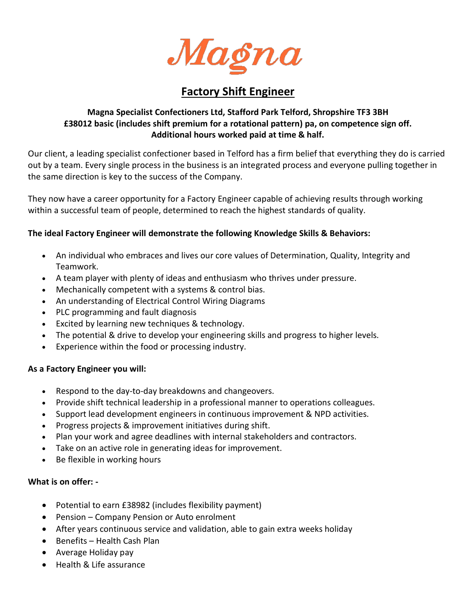

# **Factory Shift Engineer**

# **Magna Specialist Confectioners Ltd, Stafford Park Telford, Shropshire TF3 3BH £38012 basic (includes shift premium for a rotational pattern) pa, on competence sign off. Additional hours worked paid at time & half.**

Our client, a leading specialist confectioner based in Telford has a firm belief that everything they do is carried out by a team. Every single process in the business is an integrated process and everyone pulling together in the same direction is key to the success of the Company.

They now have a career opportunity for a Factory Engineer capable of achieving results through working within a successful team of people, determined to reach the highest standards of quality.

## **The ideal Factory Engineer will demonstrate the following Knowledge Skills & Behaviors:**

- An individual who embraces and lives our core values of Determination, Quality, Integrity and Teamwork.
- A team player with plenty of ideas and enthusiasm who thrives under pressure.
- Mechanically competent with a systems & control bias.
- An understanding of Electrical Control Wiring Diagrams
- PLC programming and fault diagnosis
- Excited by learning new techniques & technology.
- The potential & drive to develop your engineering skills and progress to higher levels.
- Experience within the food or processing industry.

### **As a Factory Engineer you will:**

- Respond to the day-to-day breakdowns and changeovers.
- Provide shift technical leadership in a professional manner to operations colleagues.
- Support lead development engineers in continuous improvement & NPD activities.
- Progress projects & improvement initiatives during shift.
- Plan your work and agree deadlines with internal stakeholders and contractors.
- Take on an active role in generating ideas for improvement.
- Be flexible in working hours

### **What is on offer: -**

- Potential to earn £38982 (includes flexibility payment)
- Pension Company Pension or Auto enrolment
- After years continuous service and validation, able to gain extra weeks holiday
- $\bullet$  Benefits Health Cash Plan
- Average Holiday pay
- Health & Life assurance